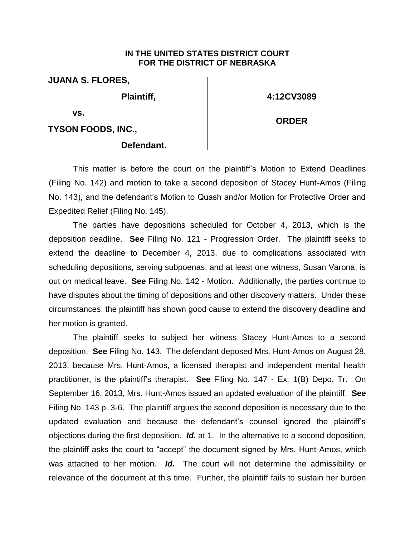## **IN THE UNITED STATES DISTRICT COURT FOR THE DISTRICT OF NEBRASKA**

**JUANA S. FLORES,**

**Plaintiff,** 

**4:12CV3089**

**ORDER**

**vs.** 

**TYSON FOODS, INC.,**

## **Defendant.**

This matter is before the court on the plaintiff's Motion to Extend Deadlines (Filing No. 142) and motion to take a second deposition of Stacey Hunt-Amos (Filing No. 143), and the defendant's Motion to Quash and/or Motion for Protective Order and Expedited Relief (Filing No. 145).

The parties have depositions scheduled for October 4, 2013, which is the deposition deadline. **See** Filing No. 121 - Progression Order. The plaintiff seeks to extend the deadline to December 4, 2013, due to complications associated with scheduling depositions, serving subpoenas, and at least one witness, Susan Varona, is out on medical leave. **See** Filing No. 142 - Motion. Additionally, the parties continue to have disputes about the timing of depositions and other discovery matters. Under these circumstances, the plaintiff has shown good cause to extend the discovery deadline and her motion is granted.

The plaintiff seeks to subject her witness Stacey Hunt-Amos to a second deposition. **See** Filing No. 143. The defendant deposed Mrs. Hunt-Amos on August 28, 2013, because Mrs. Hunt-Amos, a licensed therapist and independent mental health practitioner, is the plaintiff's therapist. **See** Filing No. 147 - Ex. 1(B) Depo. Tr. On September 16, 2013, Mrs. Hunt-Amos issued an updated evaluation of the plaintiff. **See** Filing No. 143 p. 3-6. The plaintiff argues the second deposition is necessary due to the updated evaluation and because the defendant's counsel ignored the plaintiff's objections during the first deposition. *Id.* at 1. In the alternative to a second deposition, the plaintiff asks the court to "accept" the document signed by Mrs. Hunt-Amos, which was attached to her motion. *Id.* The court will not determine the admissibility or relevance of the document at this time. Further, the plaintiff fails to sustain her burden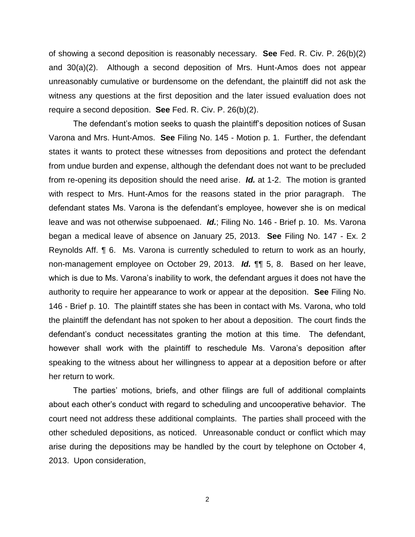of showing a second deposition is reasonably necessary. **See** Fed. R. Civ. P. 26(b)(2) and 30(a)(2). Although a second deposition of Mrs. Hunt-Amos does not appear unreasonably cumulative or burdensome on the defendant, the plaintiff did not ask the witness any questions at the first deposition and the later issued evaluation does not require a second deposition. **See** Fed. R. Civ. P. 26(b)(2).

The defendant's motion seeks to quash the plaintiff's deposition notices of Susan Varona and Mrs. Hunt-Amos. **See** Filing No. 145 - Motion p. 1. Further, the defendant states it wants to protect these witnesses from depositions and protect the defendant from undue burden and expense, although the defendant does not want to be precluded from re-opening its deposition should the need arise. *Id.* at 1-2. The motion is granted with respect to Mrs. Hunt-Amos for the reasons stated in the prior paragraph. The defendant states Ms. Varona is the defendant's employee, however she is on medical leave and was not otherwise subpoenaed. *Id.*; Filing No. 146 - Brief p. 10. Ms. Varona began a medical leave of absence on January 25, 2013. **See** Filing No. 147 - Ex. 2 Reynolds Aff. ¶ 6. Ms. Varona is currently scheduled to return to work as an hourly, non-management employee on October 29, 2013. *Id.* ¶¶ 5, 8. Based on her leave, which is due to Ms. Varona's inability to work, the defendant argues it does not have the authority to require her appearance to work or appear at the deposition. **See** Filing No. 146 - Brief p. 10. The plaintiff states she has been in contact with Ms. Varona, who told the plaintiff the defendant has not spoken to her about a deposition. The court finds the defendant's conduct necessitates granting the motion at this time. The defendant, however shall work with the plaintiff to reschedule Ms. Varona's deposition after speaking to the witness about her willingness to appear at a deposition before or after her return to work.

The parties' motions, briefs, and other filings are full of additional complaints about each other's conduct with regard to scheduling and uncooperative behavior. The court need not address these additional complaints. The parties shall proceed with the other scheduled depositions, as noticed. Unreasonable conduct or conflict which may arise during the depositions may be handled by the court by telephone on October 4, 2013. Upon consideration,

2